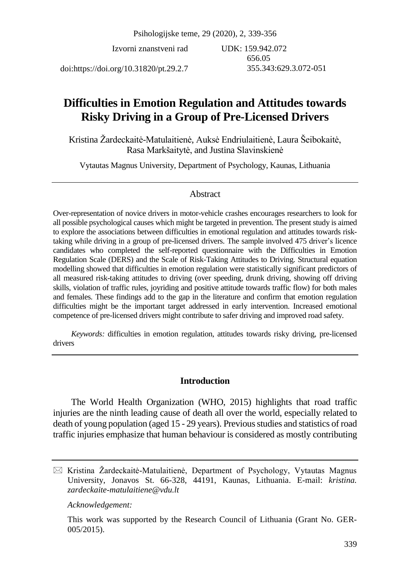Psihologijske teme, 29 (2020), 2, 339-356

Izvorni znanstveni rad

UDK: 159.942.072 656.05 355.343:629.3.072-051

doi:https://doi.org/10.31820/pt.29.2.7

# **Difficulties in Emotion Regulation and Attitudes towards Risky Driving in a Group of Pre-Licensed Drivers**

Kristina Žardeckaitė-Matulaitienė, Auksė Endriulaitienė, Laura Šeibokaitė, Rasa Markšaitytė, and Justina Slavinskienė

Vytautas Magnus University, Department of Psychology, Kaunas, Lithuania

# Abstract

Over-representation of novice drivers in motor-vehicle crashes encourages researchers to look for all possible psychological causes which might be targeted in prevention. The present study is aimed to explore the associations between difficulties in emotional regulation and attitudes towards risktaking while driving in a group of pre-licensed drivers. The sample involved 475 driver's licence candidates who completed the self-reported questionnaire with the Difficulties in Emotion Regulation Scale (DERS) and the Scale of Risk-Taking Attitudes to Driving. Structural equation modelling showed that difficulties in emotion regulation were statistically significant predictors of all measured risk-taking attitudes to driving (over speeding, drunk driving, showing off driving skills, violation of traffic rules, joyriding and positive attitude towards traffic flow) for both males and females. These findings add to the gap in the literature and confirm that emotion regulation difficulties might be the important target addressed in early intervention. Increased emotional competence of pre-licensed drivers might contribute to safer driving and improved road safety.

*Keywords:* difficulties in emotion regulation, attitudes towards risky driving, pre-licensed drivers

# **Introduction**

The World Health Organization (WHO, 2015) highlights that road traffic injuries are the ninth leading cause of death all over the world, especially related to death of young population (aged 15 - 29 years). Previousstudies and statistics of road traffic injuries emphasize that human behaviour is considered as mostly contributing

*Acknowledgement:* 

 $\boxtimes$  Kristina Žardeckaitė-Matulaitienė, Department of Psychology, Vytautas Magnus University, Jonavos St. 66-328, 44191, Kaunas, Lithuania. E-mail: *kristina. zardeckaite-matulaitiene@vdu.lt*

This work was supported by the Research Council of Lithuania (Grant No. GER-005/2015).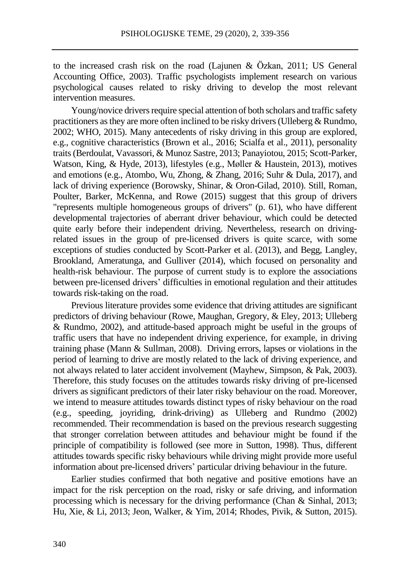to the increased crash risk on the road (Lajunen & Özkan, 2011; US General Accounting Office, 2003). Traffic psychologists implement research on various psychological causes related to risky driving to develop the most relevant intervention measures.

Young/novice drivers require special attention of both scholars and traffic safety practitioners asthey are more often inclined to be risky drivers(Ulleberg & Rundmo, 2002; WHO, 2015). Many antecedents of risky driving in this group are explored, e.g., cognitive characteristics (Brown et al., 2016; Scialfa et al., 2011), personality traits(Berdoulat, Vavassori, & Munoz Sastre, 2013; Panayiotou, 2015; Scott-Parker, Watson, King, & Hyde, 2013), lifestyles (e.g., Møller & Haustein, 2013), motives and emotions (e.g., Atombo, Wu, Zhong, & Zhang, 2016; Suhr & Dula, 2017), and lack of driving experience (Borowsky, Shinar, & Oron-Gilad, 2010). Still, Roman, Poulter, Barker, McKenna, and Rowe (2015) suggest that this group of drivers "represents multiple homogeneous groups of drivers" (p. 61), who have different developmental trajectories of aberrant driver behaviour, which could be detected quite early before their independent driving. Nevertheless, research on drivingrelated issues in the group of pre-licensed drivers is quite scarce, with some exceptions of studies conducted by Scott-Parker et al. (2013), and Begg, Langley, Brookland, Ameratunga, and Gulliver (2014), which focused on personality and health-risk behaviour. The purpose of current study is to explore the associations between pre-licensed drivers' difficulties in emotional regulation and their attitudes towards risk-taking on the road.

Previous literature provides some evidence that driving attitudes are significant predictors of driving behaviour (Rowe, Maughan, Gregory, & Eley, 2013; Ulleberg & Rundmo, 2002), and attitude-based approach might be useful in the groups of traffic users that have no independent driving experience, for example, in driving training phase (Mann & Sullman, 2008). Driving errors, lapses or violations in the period of learning to drive are mostly related to the lack of driving experience, and not always related to later accident involvement (Mayhew, Simpson, & Pak, 2003). Therefore, this study focuses on the attitudes towards risky driving of pre-licensed drivers as significant predictors of their later risky behaviour on the road. Moreover, we intend to measure attitudes towards distinct types of risky behaviour on the road (e.g., speeding, joyriding, drink-driving) as Ulleberg and Rundmo (2002) recommended. Their recommendation is based on the previous research suggesting that stronger correlation between attitudes and behaviour might be found if the principle of compatibility is followed (see more in Sutton, 1998). Thus, different attitudes towards specific risky behaviours while driving might provide more useful information about pre-licensed drivers' particular driving behaviour in the future.

Earlier studies confirmed that both negative and positive emotions have an impact for the risk perception on the road, risky or safe driving, and information processing which is necessary for the driving performance (Chan & Sinhal, 2013; Hu, Xie, & Li, 2013; Jeon, Walker, & Yim, 2014; Rhodes, Pivik, & Sutton, 2015).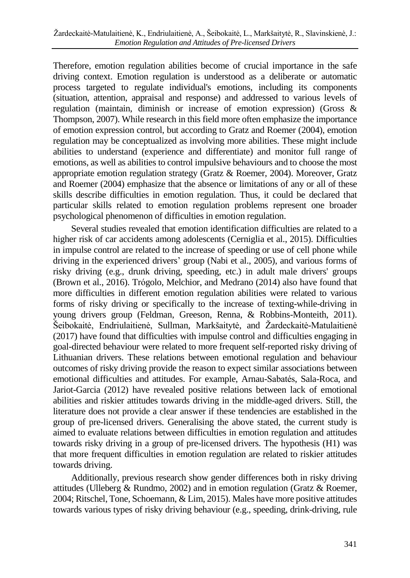Therefore, emotion regulation abilities become of crucial importance in the safe driving context. Emotion regulation is understood as a deliberate or automatic process targeted to regulate individual's emotions, including its components (situation, attention, appraisal and response) and addressed to various levels of regulation (maintain, diminish or increase of emotion expression) (Gross & Thompson, 2007). While research in this field more often emphasize the importance of emotion expression control, but according to Gratz and Roemer (2004), emotion regulation may be conceptualized as involving more abilities. These might include abilities to understand (experience and differentiate) and monitor full range of emotions, as well as abilities to control impulsive behaviours and to choose the most appropriate emotion regulation strategy (Gratz & Roemer, 2004). Moreover, Gratz and Roemer (2004) emphasize that the absence or limitations of any or all of these skills describe difficulties in emotion regulation. Thus, it could be declared that particular skills related to emotion regulation problems represent one broader psychological phenomenon of difficulties in emotion regulation.

Several studies revealed that emotion identification difficulties are related to a higher risk of car accidents among adolescents (Cerniglia et al., 2015). Difficulties in impulse control are related to the increase of speeding or use of cell phone while driving in the experienced drivers' group (Nabi et al., 2005), and various forms of risky driving (e.g., drunk driving, speeding, etc.) in adult male drivers' groups (Brown et al., 2016). Trógolo, Melchior, and Medrano (2014) also have found that more difficulties in different emotion regulation abilities were related to various forms of risky driving or specifically to the increase of texting-while-driving in young drivers group (Feldman, Greeson, Renna, & Robbins-Monteith, 2011). Šeibokaitė, Endriulaitienė, Sullman, Markšaitytė, and Žardeckaitė-Matulaitienė (2017) have found that difficulties with impulse control and difficulties engaging in goal-directed behaviour were related to more frequent self-reported risky driving of Lithuanian drivers. These relations between emotional regulation and behaviour outcomes of risky driving provide the reason to expect similar associations between emotional difficulties and attitudes. For example, Arnau-Sabatés, Sala-Roca, and Jariot-Garcia (2012) have revealed positive relations between lack of emotional abilities and riskier attitudes towards driving in the middle-aged drivers. Still, the literature does not provide a clear answer if these tendencies are established in the group of pre-licensed drivers. Generalising the above stated, the current study is aimed to evaluate relations between difficulties in emotion regulation and attitudes towards risky driving in a group of pre-licensed drivers. The hypothesis (H1) was that more frequent difficulties in emotion regulation are related to riskier attitudes towards driving.

Additionally, previous research show gender differences both in risky driving attitudes (Ulleberg & Rundmo, 2002) and in emotion regulation (Gratz & Roemer, 2004; Ritschel, Tone, Schoemann, & Lim, 2015). Males have more positive attitudes towards various types of risky driving behaviour (e.g., speeding, drink-driving, rule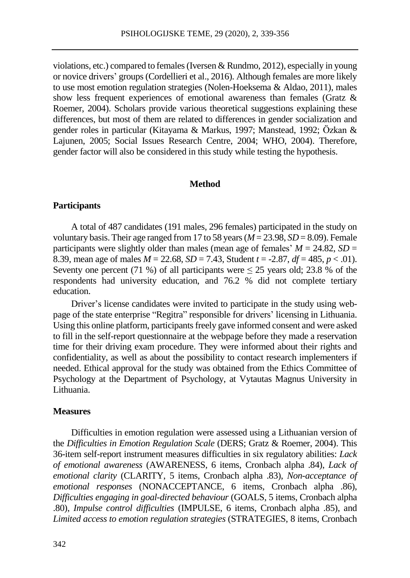violations, etc.) compared to females(Iversen & Rundmo, 2012), especially in young or novice drivers' groups(Cordellieri et al., 2016). Although females are more likely to use most emotion regulation strategies (Nolen-Hoeksema & Aldao, 2011), males show less frequent experiences of emotional awareness than females (Gratz & Roemer, 2004). Scholars provide various theoretical suggestions explaining these differences, but most of them are related to differences in gender socialization and gender roles in particular (Kitayama & Markus, 1997; Manstead, 1992; Özkan & Lajunen, 2005; Social Issues Research Centre, 2004; WHO, 2004). Therefore, gender factor will also be considered in this study while testing the hypothesis.

#### **Method**

# **Participants**

A total of 487 candidates (191 males, 296 females) participated in the study on voluntary basis. Their age ranged from 17 to 58 years ( $M = 23.98$ ,  $SD = 8.09$ ). Female participants were slightly older than males (mean age of females'  $M = 24.82$ ,  $SD =$ 8.39, mean age of males *M* = 22.68, *SD* = 7.43, Student *t* = -2.87, *df* = 485, *p* < .01). Seventy one percent (71 %) of all participants were  $\leq 25$  years old; 23.8 % of the respondents had university education, and 76.2 % did not complete tertiary education.

Driver's license candidates were invited to participate in the study using webpage of the state enterprise "Regitra" responsible for drivers' licensing in Lithuania. Using this online platform, participants freely gave informed consent and were asked to fill in the self-report questionnaire at the webpage before they made a reservation time for their driving exam procedure. They were informed about their rights and confidentiality, as well as about the possibility to contact research implementers if needed. Ethical approval for the study was obtained from the Ethics Committee of Psychology at the Department of Psychology, at Vytautas Magnus University in Lithuania.

#### **Measures**

Difficulties in emotion regulation were assessed using a Lithuanian version of the *Difficulties in Emotion Regulation Scale* (DERS; Gratz & Roemer, 2004). This 36-item self-report instrument measures difficulties in six regulatory abilities: *Lack of emotional awareness* (AWARENESS, 6 items, Cronbach alpha .84), *Lack of emotional clarity* (CLARITY, 5 items, Cronbach alpha .83), *Non-acceptance of emotional responses* (NONACCEPTANCE, 6 items, Cronbach alpha .86), *Difficulties engaging in goal-directed behaviour* (GOALS, 5 items, Cronbach alpha .80), *Impulse control difficulties* (IMPULSE, 6 items, Cronbach alpha .85), and *Limited access to emotion regulation strategies* (STRATEGIES, 8 items, Cronbach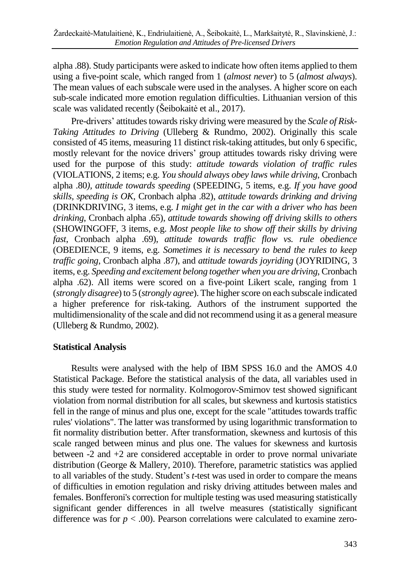alpha .88). Study participants were asked to indicate how often items applied to them using a five-point scale, which ranged from 1 (*almost never*) to 5 (*almost always*). The mean values of each subscale were used in the analyses. A higher score on each sub-scale indicated more emotion regulation difficulties. Lithuanian version of this scale was validated recently (Šeibokaitė et al., 2017).

Pre-drivers' attitudes towards risky driving were measured by the *Scale of Risk*-*Taking Attitudes to Driving* (Ulleberg & Rundmo, 2002). Originally this scale consisted of 45 items, measuring 11 distinct risk-taking attitudes, but only 6 specific, mostly relevant for the novice drivers' group attitudes towards risky driving were used for the purpose of this study: *attitude towards violation of traffic rules* (VIOLATIONS, 2 items; e.g. *You should always obey laws while driving*, Cronbach alpha .80*), attitude towards speeding* (SPEEDING, 5 items, e.g. *If you have good skills, speeding is OK*, Cronbach alpha .82), *attitude towards drinking and driving* (DRINKDRIVING, 3 items, e.g. *I might get in the car with a driver who has been drinking*, Cronbach alpha .65), *attitude towards showing off driving skills to others* (SHOWINGOFF, 3 items, e.g. *Most people like to show off their skills by driving fast*, Cronbach alpha .69), *attitude towards traffic flow vs. rule obedience* (OBEDIENCE, 9 items, e.g. *Sometimes it is necessary to bend the rules to keep traffic going*, Cronbach alpha .87), and *attitude towards joyriding* (JOYRIDING, 3 items, e.g. *Speeding and excitement belong together when you are driving*, Cronbach alpha .62). All items were scored on a five-point Likert scale, ranging from 1 (*strongly disagree*) to 5 (*strongly agree*). The higherscore on each subscale indicated a higher preference for risk-taking. Authors of the instrument supported the multidimensionality of the scale and did not recommend using it as a general measure (Ulleberg & Rundmo, 2002).

# **Statistical Analysis**

Results were analysed with the help of IBM SPSS 16.0 and the AMOS 4.0 Statistical Package. Before the statistical analysis of the data, all variables used in this study were tested for normality. Kolmogorov-Smirnov test showed significant violation from normal distribution for all scales, but skewness and kurtosis statistics fell in the range of minus and plus one, except for the scale "attitudes towards traffic rules' violations". The latter was transformed by using logarithmic transformation to fit normality distribution better. After transformation, skewness and kurtosis of this scale ranged between minus and plus one. The values for skewness and kurtosis between -2 and +2 are considered acceptable in order to prove normal univariate distribution (George & Mallery, 2010). Therefore, parametric statistics was applied to all variables of the study. Student's *t*-test was used in order to compare the means of difficulties in emotion regulation and risky driving attitudes between males and females. Bonfferoni's correction for multiple testing was used measuring statistically significant gender differences in all twelve measures (statistically significant difference was for  $p < .00$ ). Pearson correlations were calculated to examine zero-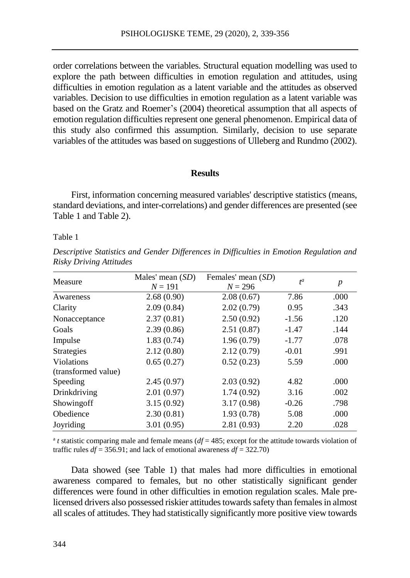order correlations between the variables. Structural equation modelling was used to explore the path between difficulties in emotion regulation and attitudes, using difficulties in emotion regulation as a latent variable and the attitudes as observed variables. Decision to use difficulties in emotion regulation as a latent variable was based on the Gratz and Roemer's (2004) theoretical assumption that all aspects of emotion regulation difficulties represent one general phenomenon. Empirical data of this study also confirmed this assumption. Similarly, decision to use separate variables of the attitudes was based on suggestions of Ulleberg and Rundmo (2002).

#### **Results**

First, information concerning measured variables' descriptive statistics (means, standard deviations, and inter-correlations) and gender differences are presented (see Table 1 and Table 2).

#### Table 1

*Descriptive Statistics and Gender Differences in Difficulties in Emotion Regulation and Risky Driving Attitudes*

| Measure             | Males' mean $(SD)$<br>$N = 191$ | Females' mean (SD)<br>$N = 296$ | $t^a$   | $\boldsymbol{p}$ |
|---------------------|---------------------------------|---------------------------------|---------|------------------|
| Awareness           | 2.68(0.90)                      | 2.08(0.67)                      | 7.86    | .000             |
| Clarity             | 2.09(0.84)                      | 2.02(0.79)                      | 0.95    | .343             |
| Nonacceptance       | 2.37(0.81)                      | 2.50(0.92)                      | $-1.56$ | .120             |
| Goals               | 2.39(0.86)                      | 2.51(0.87)                      | $-1.47$ | .144             |
| Impulse             | 1.83(0.74)                      | 1.96(0.79)                      | $-1.77$ | .078             |
| Strategies          | 2.12(0.80)                      | 2.12(0.79)                      | $-0.01$ | .991             |
| <b>Violations</b>   | 0.65(0.27)                      | 0.52(0.23)                      | 5.59    | .000             |
| (transformed value) |                                 |                                 |         |                  |
| Speeding            | 2.45(0.97)                      | 2.03(0.92)                      | 4.82    | .000             |
| Drinkdriving        | 2.01(0.97)                      | 1.74(0.92)                      | 3.16    | .002             |
| Showing off         | 3.15(0.92)                      | 3.17(0.98)                      | $-0.26$ | .798             |
| Obedience           | 2.30(0.81)                      | 1.93(0.78)                      | 5.08    | .000             |
| Joyriding           | 3.01(0.95)                      | 2.81(0.93)                      | 2.20    | .028             |

 $a$  *t* statistic comparing male and female means ( $df = 485$ ; except for the attitude towards violation of traffic rules  $df = 356.91$ ; and lack of emotional awareness  $df = 322.70$ )

Data showed (see Table 1) that males had more difficulties in emotional awareness compared to females, but no other statistically significant gender differences were found in other difficulties in emotion regulation scales. Male prelicensed drivers also possessed riskier attitudes towards safety than females in almost allscales of attitudes. They had statistically significantly more positive view towards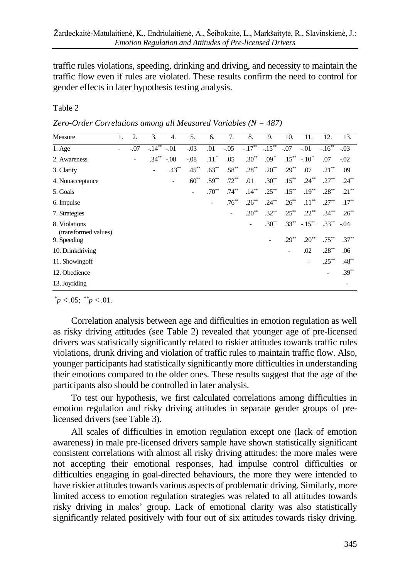traffic rules violations, speeding, drinking and driving, and necessity to maintain the traffic flow even if rules are violated. These results confirm the need to control for gender effects in later hypothesis testing analysis.

# Table 2

| Zero-Order Correlations among all Measured Variables ( $N = 487$ ) |  |
|--------------------------------------------------------------------|--|
|--------------------------------------------------------------------|--|

| Measure                               | 1. | $\overline{2}$ .         | 3.         | 4.       | 5.                       | 6.                       | 7.                           | 8.         | 9.                           | 10.                      | 11.                    | 12.        | 13.      |
|---------------------------------------|----|--------------------------|------------|----------|--------------------------|--------------------------|------------------------------|------------|------------------------------|--------------------------|------------------------|------------|----------|
| $1.$ Age                              | ٠  | $-.07$                   | $-14^{**}$ | $-.01$   | $-.03$                   | .01                      | $-0.05$                      | $-17^{**}$ | $-15^{**}$                   | $-.07$                   | $-.01$                 | $-16^{**}$ | $-.03$   |
| 2. Awareness                          |    | $\overline{\phantom{a}}$ | $.34***$   | $-.08$   | $-.08$                   | $.11*$                   | .05                          | $.30^{**}$ | $.09*$                       |                          | $.15^{**}$ $-.10^{*}$  | .07        | $-0.02$  |
| 3. Clarity                            |    |                          | ٠          | $.43***$ | $.45***$                 | $.63***$                 | $.58***$                     | $.28***$   | $.20^{**}$                   | $.29***$                 | .07                    | $.21***$   | .09      |
| 4. Nonacceptance                      |    |                          |            | ۰        | $.60**$                  | $.59**$                  | $.72***$                     | .01        | $.30**$                      | $.15***$                 | $.24***$               | $.27***$   | $.24***$ |
| 5. Goals                              |    |                          |            |          | $\overline{\phantom{a}}$ | $.70^{**}$               | $.74***$                     | $.14***$   | $.25***$                     | $.15***$                 | $.19***$               | $.28***$   | $.21***$ |
| 6. Impulse                            |    |                          |            |          |                          | $\overline{\phantom{a}}$ | $.76***$                     | $.26***$   | $.24***$                     | $.26***$                 | $.11***$               | $.27***$   | $.17***$ |
| 7. Strategies                         |    |                          |            |          |                          |                          | $\qquad \qquad \blacksquare$ | $.20^{**}$ | $.32***$                     | $.25***$                 | $.22***$               | $.34***$   | $.26***$ |
| 8. Violations<br>(transformed values) |    |                          |            |          |                          |                          |                              | ٠          | $.30**$                      |                          | $.33^{**}$ $-.15^{**}$ | $.33***$   | $-.04$   |
| 9. Speeding                           |    |                          |            |          |                          |                          |                              |            | $\qquad \qquad \blacksquare$ | $.29***$                 | $.20^{**}$             | $.75***$   | $.37***$ |
| 10. Drinkdriving                      |    |                          |            |          |                          |                          |                              |            |                              | $\overline{\phantom{0}}$ | .02                    | $.28***$   | .06      |
| 11. Showing off                       |    |                          |            |          |                          |                          |                              |            |                              |                          | ٠                      | $.25***$   | $.48***$ |
| 12. Obedience                         |    |                          |            |          |                          |                          |                              |            |                              |                          |                        |            | $.39***$ |
| 13. Joyriding                         |    |                          |            |          |                          |                          |                              |            |                              |                          |                        |            | ۰        |

 $^{*}p < .05; ^{**}p < .01.$ 

Correlation analysis between age and difficulties in emotion regulation as well as risky driving attitudes (see Table 2) revealed that younger age of pre-licensed drivers was statistically significantly related to riskier attitudes towards traffic rules violations, drunk driving and violation of traffic rules to maintain traffic flow. Also, younger participants had statistically significantly more difficulties in understanding their emotions compared to the older ones. These results suggest that the age of the participants also should be controlled in later analysis.

To test our hypothesis, we first calculated correlations among difficulties in emotion regulation and risky driving attitudes in separate gender groups of prelicensed drivers (see Table 3).

All scales of difficulties in emotion regulation except one (lack of emotion awareness) in male pre-licensed drivers sample have shown statistically significant consistent correlations with almost all risky driving attitudes: the more males were not accepting their emotional responses, had impulse control difficulties or difficulties engaging in goal-directed behaviours, the more they were intended to have riskier attitudes towards various aspects of problematic driving. Similarly, more limited access to emotion regulation strategies was related to all attitudes towards risky driving in males' group. Lack of emotional clarity was also statistically significantly related positively with four out of six attitudes towards risky driving.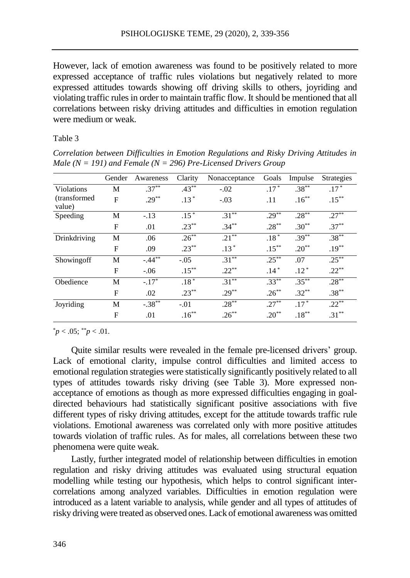However, lack of emotion awareness was found to be positively related to more expressed acceptance of traffic rules violations but negatively related to more expressed attitudes towards showing off driving skills to others, joyriding and violating traffic rules in order to maintain traffic flow. It should be mentioned that all correlations between risky driving attitudes and difficulties in emotion regulation were medium or weak.

#### Table 3

*Correlation between Difficulties in Emotion Regulations and Risky Driving Attitudes in Male (N = 191) and Female (N = 296) Pre-Licensed Drivers Group* 

|                         | Gender | Awareness           | Clarity  | Nonacceptance | Goals     | Impulse    | <b>Strategies</b>  |
|-------------------------|--------|---------------------|----------|---------------|-----------|------------|--------------------|
| Violations              | М      | $.37***$            | $.43***$ | $-.02$        | $.17*$    | $.38***$   | $.17$ <sup>*</sup> |
| (transformed)<br>value) | F      | $.29***$            | $.13*$   | $-.03$        | .11       | $.16***$   | $.15***$           |
| Speeding                | М      | $-.13$              | $.15*$   | $.31***$      | $.29***$  | $.28***$   | $.27***$           |
|                         | F      | .01                 | $.23***$ | $.34***$      | $.28***$  | $.30**$    | $.37***$           |
| Drinkdriving            | М      | .06                 | $.26***$ | $.21***$      | $.18*$    | $.39***$   | $.38***$           |
|                         | F      | .09                 | $.23***$ | $.13*$        | $.15***$  | $.20^{**}$ | $.19***$           |
| Showingoff              | M      | $-44$ <sup>**</sup> | $-.05$   | $.31^{**}$    | $.25***$  | .07        | $.25***$           |
|                         | F      | $-.06$              | $.15***$ | $.22***$      | $.14*$    | $.12*$     | $.22***$           |
| Obedience               | М      | $-.17*$             | $.18*$   | $.31***$      | $.33***$  | $.35***$   | $.28***$           |
|                         | F      | .02                 | $.23***$ | $.29***$      | $.26***$  | $.32***$   | $.38***$           |
| Joyriding               | М      | $-0.38**$           | $-.01$   | $.28***$      | $.27***$  | $.17*$     | $.22***$           |
|                         | F      | .01                 | $.16***$ | $.26***$      | $20^{**}$ | $.18***$   | $.31***$           |

 $p < .05$ ;  $p < .01$ .

Quite similar results were revealed in the female pre-licensed drivers' group. Lack of emotional clarity, impulse control difficulties and limited access to emotional regulation strategies were statistically significantly positively related to all types of attitudes towards risky driving (see Table 3). More expressed nonacceptance of emotions as though as more expressed difficulties engaging in goaldirected behaviours had statistically significant positive associations with five different types of risky driving attitudes, except for the attitude towards traffic rule violations. Emotional awareness was correlated only with more positive attitudes towards violation of traffic rules. As for males, all correlations between these two phenomena were quite weak.

Lastly, further integrated model of relationship between difficulties in emotion regulation and risky driving attitudes was evaluated using structural equation modelling while testing our hypothesis, which helps to control significant intercorrelations among analyzed variables. Difficulties in emotion regulation were introduced as a latent variable to analysis, while gender and all types of attitudes of risky driving were treated as observed ones. Lack of emotional awareness was omitted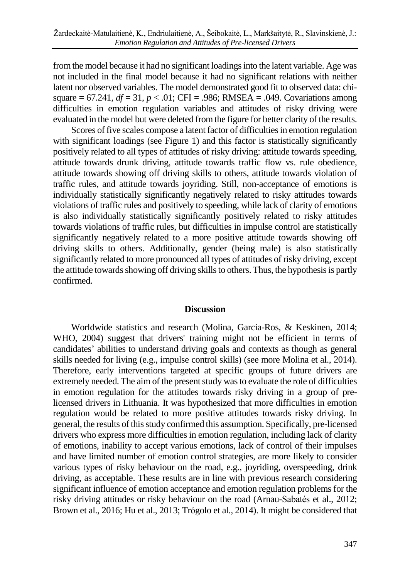fromthe model because it had no significant loadingsinto the latent variable. Age was not included in the final model because it had no significant relations with neither latent nor observed variables. The model demonstrated good fit to observed data: chisquare =  $67.241$ ,  $df = 31$ ,  $p < .01$ ; CFI = .986; RMSEA = .049. Covariations among difficulties in emotion regulation variables and attitudes of risky driving were evaluated in the model but were deleted from the figure for better clarity of the results.

Scores of five scales compose a latent factor of difficulties in emotion regulation with significant loadings (see Figure 1) and this factor is statistically significantly positively related to all types of attitudes of risky driving: attitude towards speeding, attitude towards drunk driving, attitude towards traffic flow vs. rule obedience, attitude towards showing off driving skills to others, attitude towards violation of traffic rules, and attitude towards joyriding. Still, non-acceptance of emotions is individually statistically significantly negatively related to risky attitudes towards violations of traffic rules and positively to speeding, while lack of clarity of emotions is also individually statistically significantly positively related to risky attitudes towards violations of traffic rules, but difficulties in impulse control are statistically significantly negatively related to a more positive attitude towards showing off driving skills to others. Additionally, gender (being male) is also statistically significantly related to more pronounced all types of attitudes of risky driving, except the attitude towards showing off driving skills to others. Thus, the hypothesis is partly confirmed.

# **Discussion**

Worldwide statistics and research (Molina, Garcia-Ros, & Keskinen, 2014; WHO, 2004) suggest that drivers' training might not be efficient in terms of candidates' abilities to understand driving goals and contexts as though as general skills needed for living (e.g., impulse control skills) (see more Molina et al., 2014). Therefore, early interventions targeted at specific groups of future drivers are extremely needed. The aim of the present study was to evaluate the role of difficulties in emotion regulation for the attitudes towards risky driving in a group of prelicensed drivers in Lithuania. It was hypothesized that more difficulties in emotion regulation would be related to more positive attitudes towards risky driving. In general, the results of thisstudy confirmed this assumption. Specifically, pre-licensed drivers who express more difficulties in emotion regulation, including lack of clarity of emotions, inability to accept various emotions, lack of control of their impulses and have limited number of emotion control strategies, are more likely to consider various types of risky behaviour on the road, e.g., joyriding, overspeeding, drink driving, as acceptable. These results are in line with previous research considering significant influence of emotion acceptance and emotion regulation problems for the risky driving attitudes or risky behaviour on the road (Arnau-Sabatés et al., 2012; Brown et al., 2016; Hu et al., 2013; Trógolo et al., 2014). It might be considered that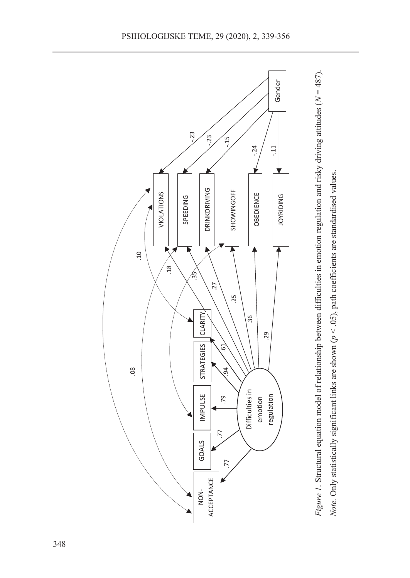

*Note.* Only statistically significant links are shown (*p* < .05), path coefficients are standardised values.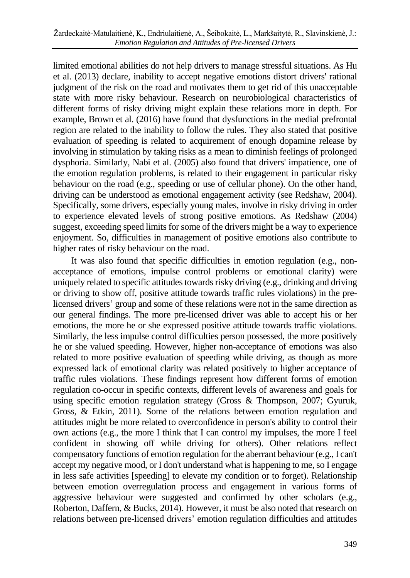limited emotional abilities do not help drivers to manage stressful situations. As Hu et al. (2013) declare, inability to accept negative emotions distort drivers' rational judgment of the risk on the road and motivates them to get rid of this unacceptable state with more risky behaviour. Research on neurobiological characteristics of different forms of risky driving might explain these relations more in depth. For example, Brown et al. (2016) have found that dysfunctions in the medial prefrontal region are related to the inability to follow the rules. They also stated that positive evaluation of speeding is related to acquirement of enough dopamine release by involving in stimulation by taking risks as a mean to diminish feelings of prolonged dysphoria. Similarly, Nabi et al. (2005) also found that drivers' impatience, one of the emotion regulation problems, is related to their engagement in particular risky behaviour on the road (e.g., speeding or use of cellular phone). On the other hand, driving can be understood as emotional engagement activity (see Redshaw, 2004). Specifically, some drivers, especially young males, involve in risky driving in order to experience elevated levels of strong positive emotions. As Redshaw (2004) suggest, exceeding speed limits forsome of the drivers might be a way to experience enjoyment. So, difficulties in management of positive emotions also contribute to higher rates of risky behaviour on the road.

It was also found that specific difficulties in emotion regulation (e.g., nonacceptance of emotions, impulse control problems or emotional clarity) were uniquely related to specific attitudes towards risky driving  $(e.g.,$  drinking and driving or driving to show off, positive attitude towards traffic rules violations) in the prelicensed drivers' group and some of these relations were not in the same direction as our general findings. The more pre-licensed driver was able to accept his or her emotions, the more he or she expressed positive attitude towards traffic violations. Similarly, the less impulse control difficulties person possessed, the more positively he or she valued speeding. However, higher non-acceptance of emotions was also related to more positive evaluation of speeding while driving, as though as more expressed lack of emotional clarity was related positively to higher acceptance of traffic rules violations. These findings represent how different forms of emotion regulation co-occur in specific contexts, different levels of awareness and goals for using specific emotion regulation strategy (Gross & Thompson, 2007; Gyuruk, Gross, & Etkin, 2011). Some of the relations between emotion regulation and attitudes might be more related to overconfidence in person's ability to control their own actions (e.g., the more I think that I can control my impulses, the more I feel confident in showing off while driving for others). Other relations reflect compensatory functions of emotion regulation for the aberrant behaviour (e.g., I can't accept my negative mood, or I don't understand what is happening to me, so I engage in less safe activities [speeding] to elevate my condition or to forget). Relationship between emotion overregulation process and engagement in various forms of aggressive behaviour were suggested and confirmed by other scholars (e.g., Roberton, Daffern, & Bucks, 2014). However, it must be also noted that research on relations between pre-licensed drivers' emotion regulation difficulties and attitudes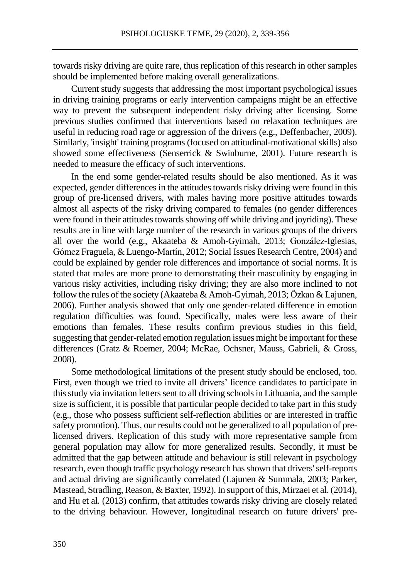towards risky driving are quite rare, thus replication of this research in other samples should be implemented before making overall generalizations.

Current study suggests that addressing the most important psychological issues in driving training programs or early intervention campaigns might be an effective way to prevent the subsequent independent risky driving after licensing. Some previous studies confirmed that interventions based on relaxation techniques are useful in reducing road rage or aggression of the drivers (e.g., Deffenbacher, 2009). Similarly, 'insight' training programs (focused on attitudinal-motivational skills) also showed some effectiveness (Senserrick & Swinburne, 2001). Future research is needed to measure the efficacy of such interventions.

In the end some gender-related results should be also mentioned. As it was expected, gender differences in the attitudes towards risky driving were found in this group of pre-licensed drivers, with males having more positive attitudes towards almost all aspects of the risky driving compared to females (no gender differences were found in their attitudes towards showing off while driving and joyriding). These results are in line with large number of the research in various groups of the drivers all over the world (e.g., Akaateba & Amoh-Gyimah, 2013; González-Iglesias, Gómez Fraguela, & Luengo-Martín, 2012; Social Issues Research Centre, 2004) and could be explained by gender role differences and importance of social norms. It is stated that males are more prone to demonstrating their masculinity by engaging in various risky activities, including risky driving; they are also more inclined to not follow the rules of the society (Akaateba & Amoh-Gyimah, 2013; Özkan & Lajunen, 2006). Further analysis showed that only one gender-related difference in emotion regulation difficulties was found. Specifically, males were less aware of their emotions than females. These results confirm previous studies in this field, suggesting that gender-related emotion regulation issues might be important for these differences (Gratz & Roemer, 2004; McRae, Ochsner, Mauss, Gabrieli, & Gross, 2008).

Some methodological limitations of the present study should be enclosed, too. First, even though we tried to invite all drivers' licence candidates to participate in this study via invitation letters sent to all driving schools in Lithuania, and the sample size is sufficient, it is possible that particular people decided to take part in this study (e.g., those who possess sufficient self-reflection abilities or are interested in traffic safety promotion). Thus, our results could not be generalized to all population of prelicensed drivers. Replication of this study with more representative sample from general population may allow for more generalized results. Secondly, it must be admitted that the gap between attitude and behaviour is still relevant in psychology research, even though traffic psychology research hasshown that drivers'self-reports and actual driving are significantly correlated (Lajunen & Summala, 2003; Parker, Mastead, Stradling, Reason,& Baxter, 1992). In support of this, Mirzaei et al. (2014), and Hu et al. (2013) confirm, that attitudes towards risky driving are closely related to the driving behaviour. However, longitudinal research on future drivers' pre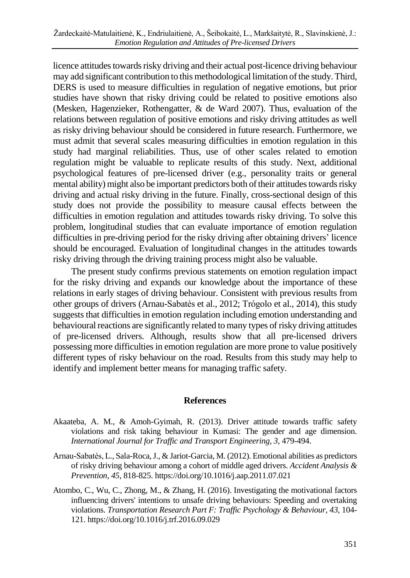licence attitudes towards risky driving and their actual post-licence driving behaviour may add significant contribution to this methodological limitation ofthe study.Third, DERS is used to measure difficulties in regulation of negative emotions, but prior studies have shown that risky driving could be related to positive emotions also (Mesken, Hagenzieker, Rothengatter, & de Ward 2007). Thus, evaluation of the relations between regulation of positive emotions and risky driving attitudes as well as risky driving behaviour should be considered in future research. Furthermore, we must admit that several scales measuring difficulties in emotion regulation in this study had marginal reliabilities. Thus, use of other scales related to emotion regulation might be valuable to replicate results of this study. Next, additional psychological features of pre-licensed driver (e.g., personality traits or general mental ability) might also be important predictors both of their attitudes towards risky driving and actual risky driving in the future. Finally, cross-sectional design of this study does not provide the possibility to measure causal effects between the difficulties in emotion regulation and attitudes towards risky driving. To solve this problem, longitudinal studies that can evaluate importance of emotion regulation difficulties in pre-driving period for the risky driving after obtaining drivers' licence should be encouraged. Evaluation of longitudinal changes in the attitudes towards risky driving through the driving training process might also be valuable.

The present study confirms previous statements on emotion regulation impact for the risky driving and expands our knowledge about the importance of these relations in early stages of driving behaviour. Consistent with previous results from other groups of drivers (Arnau-Sabatés et al., 2012; Trógolo et al., 2014), this study suggests that difficulties in emotion regulation including emotion understanding and behavioural reactions are significantly related to many types of risky driving attitudes of pre-licensed drivers. Although, results show that all pre-licensed drivers possessing more difficulties in emotion regulation are more prone to value positively different types of risky behaviour on the road. Results from this study may help to identify and implement better means for managing traffic safety.

# **References**

- Akaateba, A. M., & Amoh-Gyimah, R. (2013). Driver attitude towards traffic safety violations and risk taking behaviour in Kumasi: The gender and age dimension. *International Journal for Traffic and Transport Engineering, 3,* 479-494.
- Arnau-Sabatés, L., Sala-Roca,J., & Jariot-Garcia, M. (2012). Emotional abilities as predictors of risky driving behaviour among a cohort of middle aged drivers. *Accident Analysis & Prevention, 45*, 818-825. https://doi.org/10.1016/j.aap.2011.07.021
- Atombo, C., Wu, C., Zhong, M., & Zhang, H. (2016). Investigating the motivational factors influencing drivers' intentions to unsafe driving behaviours: Speeding and overtaking violations. *Transportation Research Part F: Traffic Psychology & Behaviour, 43*, 104- 121. https://doi.org/10.1016/j.trf.2016.09.029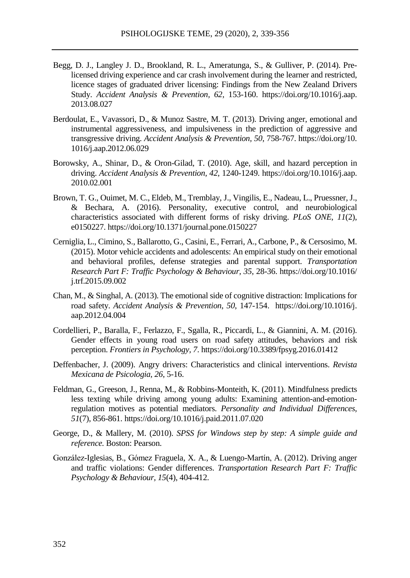- Begg, D. J., Langley J. D., Brookland, R. L., Ameratunga, S., & Gulliver, P. (2014). Prelicensed driving experience and car crash involvement during the learner and restricted, licence stages of graduated driver licensing: Findings from the New Zealand Drivers Study. *Accident Analysis & Prevention, 62*, 153-160. https://doi.org/10.1016/j.aap. 2013.08.027
- Berdoulat, E., Vavassori, D., & Munoz Sastre, M. T. (2013). Driving anger, emotional and instrumental aggressiveness, and impulsiveness in the prediction of aggressive and transgressive driving. *Accident Analysis & Prevention, 50*, 758-767. https://doi.org/10. 1016/j.aap.2012.06.029
- Borowsky, A., Shinar, D., & Oron-Gilad, T. (2010). Age, skill, and hazard perception in driving. *Accident Analysis & Prevention, 42*, 1240-1249. https://doi.org/10.1016/j.aap. 2010.02.001
- Brown, T. G., Ouimet, M. C., Eldeb, M., Tremblay, J., Vingilis, E., Nadeau, L., Pruessner, J., & Bechara, A. (2016). Personality, executive control, and neurobiological characteristics associated with different forms of risky driving. *PLoS ONE, 11*(2), e0150227. https://doi.org/10.1371/journal.pone.0150227
- Cerniglia, L., Cimino, S., Ballarotto, G., Casini, E., Ferrari, A., Carbone, P., & Cersosimo, M. (2015). Motor vehicle accidents and adolescents: An empirical study on their emotional and behavioral profiles, defense strategies and parental support. *Transportation Research Part F: Traffic Psychology & Behaviour, 35*, 28-36. https://doi.org/10.1016/ j.trf.2015.09.002
- Chan, M., & Singhal, A. (2013). The emotional side of cognitive distraction: Implications for road safety. *Accident Analysis & Prevention*, *50*, 147-154. https://doi.org/10.1016/j. aap.2012.04.004
- Cordellieri, P., Baralla, F., Ferlazzo, F., Sgalla, R., Piccardi, L., & Giannini, A. M. (2016). Gender effects in young road users on road safety attitudes, behaviors and risk perception. *Frontiers in Psychology, 7*. https://doi.org/10.3389/fpsyg.2016.01412
- Deffenbacher, J. (2009). Angry drivers: Characteristics and clinical interventions. *Revista Mexicana de Psicologia, 26*, 5-16.
- Feldman, G., Greeson, J., Renna, M., & Robbins-Monteith, K. (2011). Mindfulness predicts less texting while driving among young adults: Examining attention-and-emotionregulation motives as potential mediators. *Personality and Individual Differences, 51*(7), 856-861. https://doi.org/10.1016/j.paid.2011.07.020
- George, D., & Mallery, M. (2010). *SPSS for Windows step by step: A simple guide and reference.* Boston: Pearson.
- González-Iglesias, B., Gómez Fraguela, X. A., & Luengo-Martín, A. (2012). Driving anger and traffic violations: Gender differences. *Transportation Research Part F: Traffic Psychology & Behaviour, 15*(4), 404-412.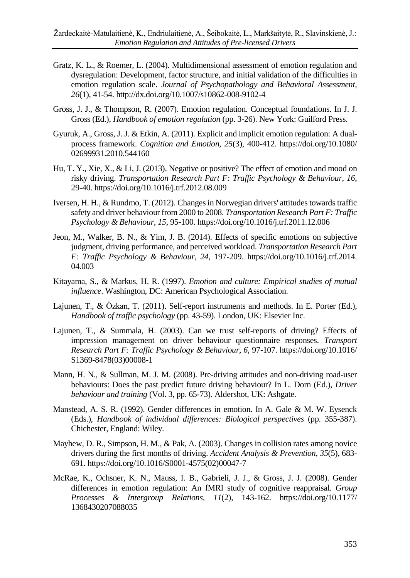- Gratz, K. L., & Roemer, L. (2004). Multidimensional assessment of emotion regulation and dysregulation: Development, factor structure, and initial validation of the difficulties in emotion regulation scale. *Journal of Psychopathology and Behavioral Assessment, 26*(1), 41-54. http://dx.doi.org/10.1007/s10862-008-9102-4
- Gross, J. J., & Thompson, R. (2007). Emotion regulation. Conceptual foundations. In J. J. Gross (Ed.), *Handbook of emotion regulation* (pp. 3-26). New York: Guilford Press.
- Gyuruk, A., Gross, J. J. & Etkin, A. (2011). Explicit and implicit emotion regulation: A dualprocess framework. *Cognition and Emotion, 25*(3), 400-412. https://doi.org/10.1080/ 02699931.2010.544160
- Hu, T. Y., Xie, X., & Li, J. (2013). Negative or positive? The effect of emotion and mood on risky driving. *Transportation Research Part F: Traffic Psychology & Behaviour, 16*, 29-40. https://doi.org/10.1016/j.trf.2012.08.009
- Iversen, H. H., & Rundmo, T. (2012). Changes in Norwegian drivers' attitudes towards traffic safety and driver behaviour from 2000 to 2008. *Transportation Research Part F: Traffic Psychology & Behaviour, 15*, 95-100. https://doi.org/10.1016/j.trf.2011.12.006
- Jeon, M., Walker, B. N., & Yim, J. B. (2014). Effects of specific emotions on subjective judgment, driving performance, and perceived workload. *Transportation Research Part F: Traffic Psychology & Behaviour, 24*, 197-209. https://doi.org/10.1016/j.trf.2014. 04.003
- Kitayama, S., & Markus, H. R. (1997). *Emotion and culture: Empirical studies of mutual influence*. Washington, DC: American Psychological Association.
- Lajunen, T., & Özkan, T. (2011). Self-report instruments and methods. In E. Porter (Ed.), *Handbook of traffic psychology* (pp. 43-59). London, UK: Elsevier Inc.
- Lajunen, T., & Summala, H. (2003). Can we trust self-reports of driving? Effects of impression management on driver behaviour questionnaire responses. *Transport Research Part F: Traffic Psychology & Behaviour, 6*, 97-107. https://doi.org/10.1016/ S1369-8478(03)00008-1
- Mann, H. N., & Sullman, M. J. M. (2008). Pre-driving attitudes and non-driving road-user behaviours: Does the past predict future driving behaviour? In L. Dorn (Ed.), *Driver behaviour and training* (Vol. 3, pp. 65-73). Aldershot, UK: Ashgate.
- Manstead, A. S. R. (1992). Gender differences in emotion. In A. Gale & M. W. Eysenck (Eds.), *Handbook of individual differences: Biological perspectives* (pp. 355-387). Chichester, England: Wiley.
- Mayhew, D. R., Simpson, H. M., & Pak, A. (2003). Changes in collision rates among novice drivers during the first months of driving. *Accident Analysis & Prevention*, *35*(5), 683- 691. https://doi.org/10.1016/S0001-4575(02)00047-7
- McRae, K., Ochsner, K. N., Mauss, I. B., Gabrieli, J. J., & Gross, J. J. (2008). Gender differences in emotion regulation: An fMRI study of cognitive reappraisal. *Group Processes & Intergroup Relations, 11*(2), 143-162. https://doi.org/10.1177/ 1368430207088035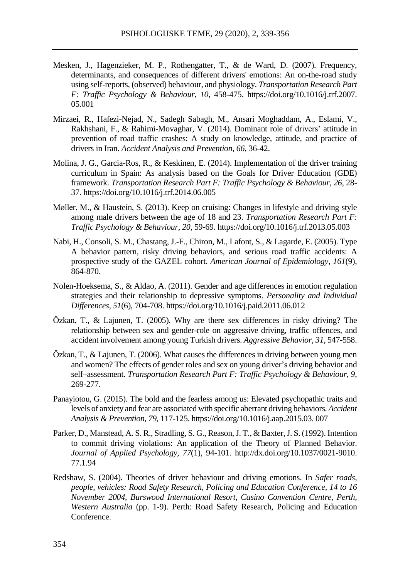- Mesken, J., Hagenzieker, M. P., Rothengatter, T., & de Ward, D. (2007). Frequency, determinants, and consequences of different drivers' emotions: An on-the-road study using self-reports, (observed) behaviour, and physiology. *Transportation Research Part F: Traffic Psychology & Behaviour*, *10*, 458-475. https://doi.org/10.1016/j.trf.2007. 05.001
- Mirzaei, R., Hafezi-Nejad, N., Sadegh Sabagh, M., Ansari Moghaddam, A., Eslami, V., Rakhshani, F., & Rahimi-Movaghar, V. (2014). Dominant role of drivers' attitude in prevention of road traffic crashes: A study on knowledge, attitude, and practice of drivers in Iran. *Accident Analysis and Prevention, 66*, 36-42.
- Molina, J. G., Garcia-Ros, R., & Keskinen, E. (2014). Implementation of the driver training curriculum in Spain: As analysis based on the Goals for Driver Education (GDE) framework. *Transportation Research Part F: Traffic Psychology & Behaviour*, *26*, 28- 37. https://doi.org/10.1016/j.trf.2014.06.005
- Møller, M., & Haustein, S. (2013). Keep on cruising: Changes in lifestyle and driving style among male drivers between the age of 18 and 23. *Transportation Research Part F: Traffic Psychology & Behaviour*, *20*, 59-69. https://doi.org/10.1016/j.trf.2013.05.003
- Nabi, H., Consoli, S. M., Chastang, J.-F., Chiron, M., Lafont, S., & Lagarde, E. (2005). Type A behavior pattern, risky driving behaviors, and serious road traffic accidents: A prospective study of the GAZEL cohort. *American Journal of Epidemiology*, *161*(9), 864-870.
- Nolen-Hoeksema, S., & Aldao, A. (2011). Gender and age differences in emotion regulation strategies and their relationship to depressive symptoms. *Personality and Individual Differences, 51*(6), 704-708. https://doi.org/10.1016/j.paid.2011.06.012
- Özkan, T., & Lajunen, T. (2005). Why are there sex differences in risky driving? The relationship between sex and gender-role on aggressive driving, traffic offences, and accident involvement among young Turkish drivers. *Aggressive Behavior, 31*, 547-558.
- Özkan, T., & Lajunen, T. (2006). What causes the differences in driving between young men and women? The effects of gender roles and sex on young driver's driving behavior and self–assessment. *Transportation Research Part F: Traffic Psychology & Behaviour*, *9*, 269-277.
- Panayiotou, G. (2015). The bold and the fearless among us: Elevated psychopathic traits and levels of anxiety and fear are associated with specific aberrant driving behaviors. *Accident Analysis & Prevention*, *79*, 117-125. https://doi.org/10.1016/j.aap.2015.03. 007
- Parker, D., Manstead, A. S. R., Stradling, S. G., Reason,J. T., & Baxter,J. S. (1992). Intention to commit driving violations: An application of the Theory of Planned Behavior. *Journal of Applied Psychology, 77*(1), 94-101. http://dx.doi.org/10.1037/0021-9010. 77.1.94
- Redshaw, S. (2004). Theories of driver behaviour and driving emotions. In *Safer roads, people, vehicles: Road Safety Research, Policing and Education Conference, 14 to 16 November 2004, Burswood International Resort, Casino Convention Centre, Perth, Western Australia* (pp. 1-9). Perth: Road Safety Research, Policing and Education Conference.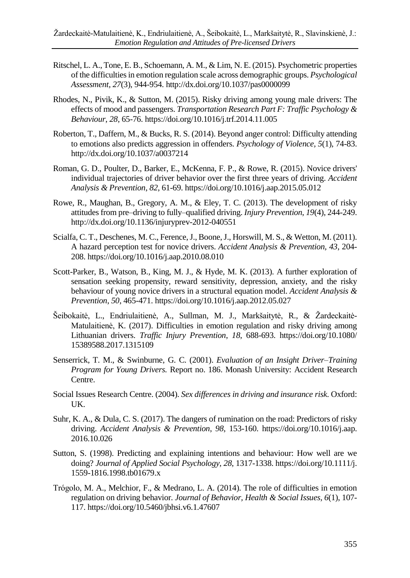- Ritschel, L. A., Tone, E. B., Schoemann, A. M., & Lim, N. E. (2015). Psychometric properties of the difficultiesin emotion regulation scale across demographic groups. *Psychological Assessment, 27*(3), 944-954. http://dx.doi.org/10.1037/pas0000099
- Rhodes, N., Pivik, K., & Sutton, M. (2015). Risky driving among young male drivers: The effects of mood and passengers. *Transportation Research Part F: Traffic Psychology & Behaviour*, *28*, 65-76. https://doi.org/10.1016/j.trf.2014.11.005
- Roberton, T., Daffern, M., & Bucks, R. S. (2014). Beyond anger control: Difficulty attending to emotions also predicts aggression in offenders. *Psychology of Violence, 5*(1), 74-83. http://dx.doi.org/10.1037/a0037214
- Roman, G. D., Poulter, D., Barker, E., McKenna, F. P., & Rowe, R. (2015). Novice drivers' individual trajectories of driver behavior over the first three years of driving. *Accident Analysis & Prevention*, *82*, 61-69. https://doi.org/10.1016/j.aap.2015.05.012
- Rowe, R., Maughan, B., Gregory, A. M., & Eley, T. C. (2013). The development of risky attitudesfrom pre–driving to fully–qualified driving. *Injury Prevention*, *19*(4), 244-249. http://dx.doi.org/10.1136/injuryprev-2012-040551
- Scialfa, C. T., Deschenes, M. C., Ference,J., Boone,J., Horswill, M. S., & Wetton, M. (2011). A hazard perception test for novice drivers. *Accident Analysis & Prevention, 43*, 204- 208. https://doi.org/10.1016/j.aap.2010.08.010
- Scott-Parker, B., Watson, B., King, M. J., & Hyde, M. K. (2013). A further exploration of sensation seeking propensity, reward sensitivity, depression, anxiety, and the risky behaviour of young novice drivers in a structural equation model. *Accident Analysis & Prevention*, *50*, 465-471. https://doi.org/10.1016/j.aap.2012.05.027
- Šeibokaitė, L., Endriulaitienė, A., Sullman, M. J., Markšaitytė, R., & Žardeckaitė-Matulaitienė, K. (2017). Difficulties in emotion regulation and risky driving among Lithuanian drivers. *Traffic Injury Prevention*, *18*, 688-693. https://doi.org/10.1080/ 15389588.2017.1315109
- Senserrick, T. M., & Swinburne, G. C. (2001). *Evaluation of an Insight Driver–Training Program for Young Drivers.* Report no. 186. Monash University: Accident Research Centre.
- Social Issues Research Centre. (2004). *Sex differences in driving and insurance risk*. Oxford: UK.
- Suhr, K. A., & Dula, C. S. (2017). The dangers of rumination on the road: Predictors of risky driving. *Accident Analysis & Prevention*, *98*, 153-160. https://doi.org/10.1016/j.aap. 2016.10.026
- Sutton, S. (1998). Predicting and explaining intentions and behaviour: How well are we doing? *Journal of Applied Social Psychology, 28*, 1317-1338. https://doi.org/10.1111/j. 1559-1816.1998.tb01679.x
- Trógolo, M. A., Melchior, F., & Medrano, L. A. (2014). The role of difficulties in emotion regulation on driving behavior. *Journal of Behavior, Health & Social Issues, 6*(1), 107- 117. https://doi.org/10.5460/jbhsi.v6.1.47607